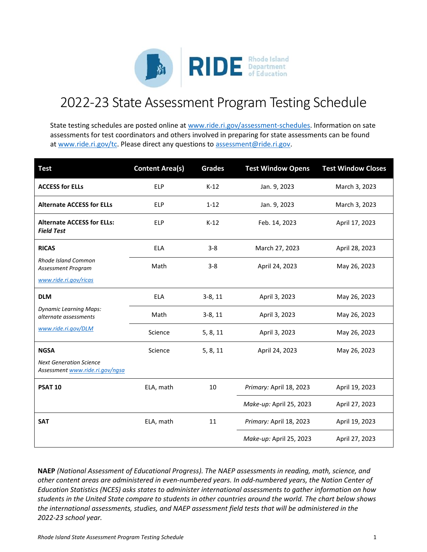

## 2022-23 State Assessment Program Testing Schedule

State testing schedules are posted online a[t www.ride.ri.gov/assessment-schedules.](http://www.ride.ri.gov/assessment-schedules) Information on sate assessments for test coordinators and others involved in preparing for state assessments can be found a[t www.ride.ri.gov/tc.](http://www.ride.ri.gov/tc) Please direct any questions to [assessment@ride.ri.gov.](mailto:assessment@ride.ri.gov)

| <b>Test</b>                                                                                 | <b>Content Area(s)</b> | <b>Grades</b> | <b>Test Window Opens</b> | <b>Test Window Closes</b> |
|---------------------------------------------------------------------------------------------|------------------------|---------------|--------------------------|---------------------------|
| <b>ACCESS for ELLs</b>                                                                      | <b>ELP</b>             | $K-12$        | Jan. 9, 2023             | March 3, 2023             |
| <b>Alternate ACCESS for ELLs</b>                                                            | <b>ELP</b>             | $1 - 12$      | Jan. 9, 2023             | March 3, 2023             |
| <b>Alternate ACCESS for ELLs:</b><br><b>Field Test</b>                                      | <b>ELP</b>             | $K-12$        | Feb. 14, 2023            | April 17, 2023            |
| <b>RICAS</b><br><b>Rhode Island Common</b><br>Assessment Program                            | <b>ELA</b>             | $3 - 8$       | March 27, 2023           | April 28, 2023            |
|                                                                                             | Math                   | $3 - 8$       | April 24, 2023           | May 26, 2023              |
| www.ride.ri.gov/ricas                                                                       |                        |               |                          |                           |
| <b>DLM</b><br><b>Dynamic Learning Maps:</b><br>alternate assessments<br>www.ride.ri.gov/DLM | <b>ELA</b>             | $3-8, 11$     | April 3, 2023            | May 26, 2023              |
|                                                                                             | Math                   | $3-8, 11$     | April 3, 2023            | May 26, 2023              |
|                                                                                             | Science                | 5, 8, 11      | April 3, 2023            | May 26, 2023              |
| <b>NGSA</b>                                                                                 | Science                | 5, 8, 11      | April 24, 2023           | May 26, 2023              |
| <b>Next Generation Science</b><br>Assessment www.ride.ri.gov/ngsa                           |                        |               |                          |                           |
| <b>PSAT 10</b>                                                                              | ELA, math              | 10            | Primary: April 18, 2023  | April 19, 2023            |
|                                                                                             |                        |               | Make-up: April 25, 2023  | April 27, 2023            |
| <b>SAT</b>                                                                                  | ELA, math              | 11            | Primary: April 18, 2023  | April 19, 2023            |
|                                                                                             |                        |               | Make-up: April 25, 2023  | April 27, 2023            |

**NAEP** *(National Assessment of Educational Progress). The NAEP assessments in reading, math, science, and other content areas are administered in even-numbered years. In odd-numbered years, the Nation Center of Education Statistics (NCES) asks states to administer international assessments to gather information on how students in the United State compare to students in other countries around the world. The chart below shows the international assessments, studies, and NAEP assessment field tests that will be administered in the 2022-23 school year.*